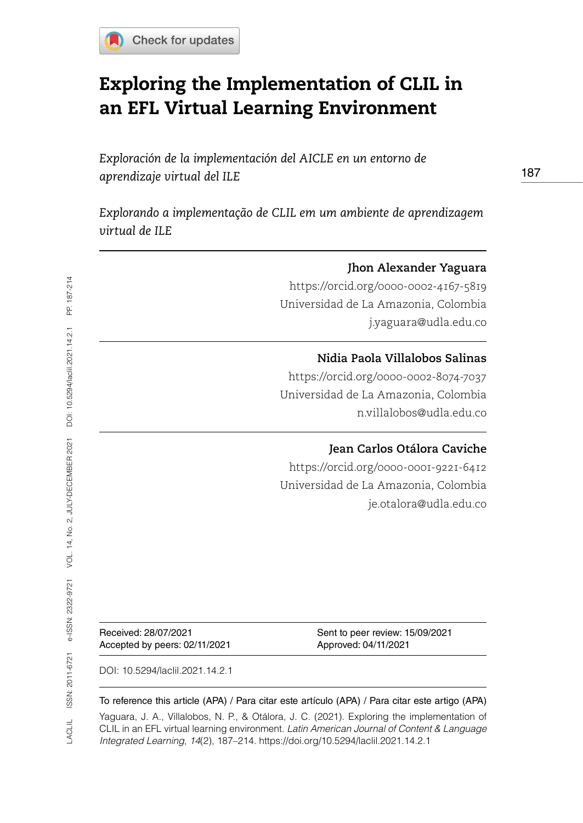

# Exploring the Implementation of CLIL in an EFL Virtual Learning Environment

*Exploración de la implementación del AICLE en un entorno de aprendizaje virtual del ILE*

*Explorando a implementação de CLIL em um ambiente de aprendizagem virtual de ILE* 

|                                                       | Jhon Alexander Yaguara                                  |
|-------------------------------------------------------|---------------------------------------------------------|
|                                                       | https://orcid.org/0000-0002-4167-5819                   |
|                                                       | Universidad de La Amazonia, Colombia                    |
|                                                       | j.yaguara@udla.edu.co                                   |
|                                                       | Nidia Paola Villalobos Salinas                          |
|                                                       | https://orcid.org/0000-0002-8074-7037                   |
|                                                       | Universidad de La Amazonia, Colombia                    |
|                                                       | n.villalobos@udla.edu.co                                |
|                                                       | Jean Carlos Otálora Caviche                             |
|                                                       | https://orcid.org/0000-0001-9221-6412                   |
|                                                       | Universidad de La Amazonia, Colombia                    |
|                                                       | je.otalora@udla.edu.co                                  |
|                                                       |                                                         |
|                                                       |                                                         |
|                                                       |                                                         |
|                                                       |                                                         |
| Received: 28/07/2021<br>Accepted by peers: 02/11/2021 | Sent to peer review: 15/09/2021<br>Approved: 04/11/2021 |

DOI: 10.5294/laclil.2021.14.2.1

#### To reference this article (APA) / Para citar este artículo (APA) / Para citar este artigo (APA)

Yaguara, J. A., Villalobos, N. P., & Otálora, J. C. (2021). Exploring the implementation of CLIL in an EFL virtual learning environment. *Latin American Journal of Content & Language Integrated Learning*, *14*(2), 187–214. https://doi.org/10.5294/laclil.2021.14.2.1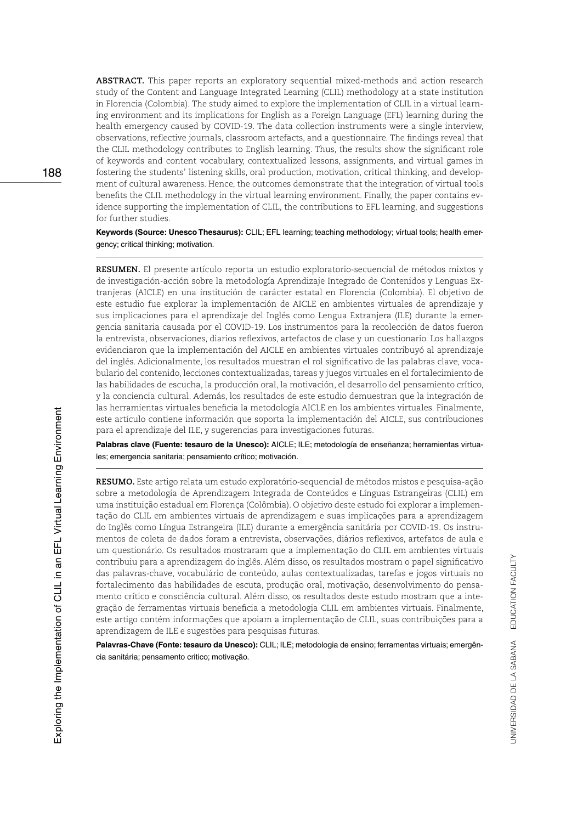**ABSTRACT.** This paper reports an exploratory sequential mixed-methods and action research study of the Content and Language Integrated Learning (CLIL) methodology at a state institution in Florencia (Colombia). The study aimed to explore the implementation of CLIL in a virtual learning environment and its implications for English as a Foreign Language (EFL) learning during the health emergency caused by COVID-19. The data collection instruments were a single interview, observations, reflective journals, classroom artefacts, and a questionnaire. The findings reveal that the CLIL methodology contributes to English learning. Thus, the results show the significant role of keywords and content vocabulary, contextualized lessons, assignments, and virtual games in fostering the students' listening skills, oral production, motivation, critical thinking, and development of cultural awareness. Hence, the outcomes demonstrate that the integration of virtual tools benefits the CLIL methodology in the virtual learning environment. Finally, the paper contains evidence supporting the implementation of CLIL, the contributions to EFL learning, and suggestions for further studies.

**Keywords (Source: Unesco Thesaurus):** CLIL; EFL learning; teaching methodology; virtual tools; health emergency; critical thinking; motivation.

**RESUMEN.** El presente artículo reporta un estudio exploratorio-secuencial de métodos mixtos y de investigación-acción sobre la metodología Aprendizaje Integrado de Contenidos y Lenguas Extranjeras (AICLE) en una institución de carácter estatal en Florencia (Colombia). El objetivo de este estudio fue explorar la implementación de AICLE en ambientes virtuales de aprendizaje y sus implicaciones para el aprendizaje del Inglés como Lengua Extranjera (ILE) durante la emergencia sanitaria causada por el COVID-19. Los instrumentos para la recolección de datos fueron la entrevista, observaciones, diarios reflexivos, artefactos de clase y un cuestionario. Los hallazgos evidenciaron que la implementación del AICLE en ambientes virtuales contribuyó al aprendizaje del inglés. Adicionalmente, los resultados muestran el rol significativo de las palabras clave, vocabulario del contenido, lecciones contextualizadas, tareas y juegos virtuales en el fortalecimiento de las habilidades de escucha, la producción oral, la motivación, el desarrollo del pensamiento crítico, y la conciencia cultural. Además, los resultados de este estudio demuestran que la integración de las herramientas virtuales beneficia la metodología AICLE en los ambientes virtuales. Finalmente, este artículo contiene información que soporta la implementación del AICLE, sus contribuciones para el aprendizaje del ILE, y sugerencias para investigaciones futuras.

**Palabras clave (Fuente: tesauro de la Unesco):** AICLE; ILE; metodología de enseñanza; herramientas virtuales; emergencia sanitaria; pensamiento crítico; motivación.

**RESUMO.** Este artigo relata um estudo exploratório-sequencial de métodos mistos e pesquisa-ação sobre a metodologia de Aprendizagem Integrada de Conteúdos e Línguas Estrangeiras (CLIL) em uma instituição estadual em Florença (Colômbia). O objetivo deste estudo foi explorar a implementação do CLIL em ambientes virtuais de aprendizagem e suas implicações para a aprendizagem do Inglês como Língua Estrangeira (ILE) durante a emergência sanitária por COVID-19. Os instrumentos de coleta de dados foram a entrevista, observações, diários reflexivos, artefatos de aula e um questionário. Os resultados mostraram que a implementação do CLIL em ambientes virtuais contribuiu para a aprendizagem do inglês. Além disso, os resultados mostram o papel significativo das palavras-chave, vocabulário de conteúdo, aulas contextualizadas, tarefas e jogos virtuais no fortalecimento das habilidades de escuta, produção oral, motivação, desenvolvimento do pensamento crítico e consciência cultural. Além disso, os resultados deste estudo mostram que a integração de ferramentas virtuais beneficia a metodologia CLIL em ambientes virtuais. Finalmente, este artigo contém informações que apoiam a implementação de CLIL, suas contribuições para a aprendizagem de ILE e sugestões para pesquisas futuras.

**Palavras-Chave (Fonte: tesauro da Unesco):** CLIL; ILE; metodologia de ensino; ferramentas virtuais; emergência sanitária; pensamento critico; motivação.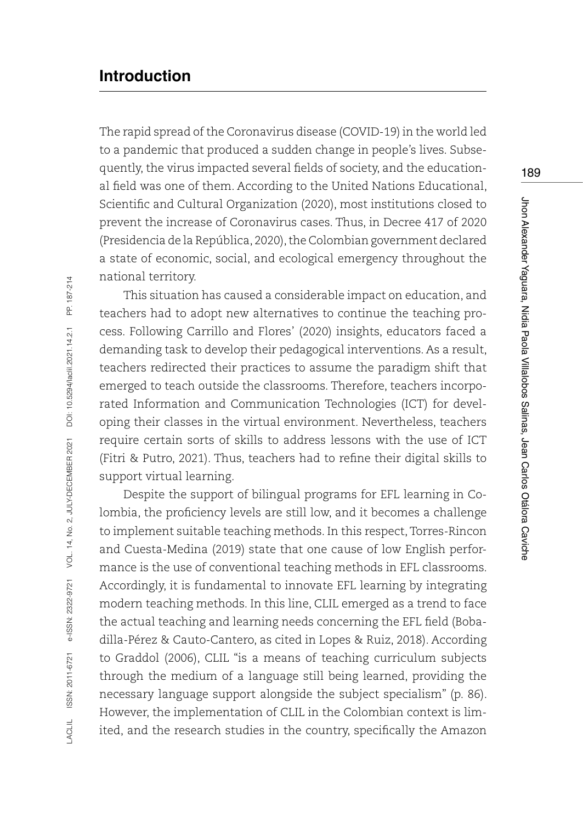# **Introduction**

The rapid spread of the Coronavirus disease (COVID-19) in the world led to a pandemic that produced a sudden change in people's lives. Subsequently, the virus impacted several fields of society, and the educational field was one of them. According to the United Nations Educational, Scientific and Cultural Organization (2020), most institutions closed to prevent the increase of Coronavirus cases. Thus, in Decree 417 of 2020 (Presidencia de la República, 2020), the Colombian government declared a state of economic, social, and ecological emergency throughout the national territory.

This situation has caused a considerable impact on education, and teachers had to adopt new alternatives to continue the teaching process. Following Carrillo and Flores' (2020) insights, educators faced a demanding task to develop their pedagogical interventions. As a result, teachers redirected their practices to assume the paradigm shift that emerged to teach outside the classrooms. Therefore, teachers incorporated Information and Communication Technologies (ICT) for developing their classes in the virtual environment. Nevertheless, teachers require certain sorts of skills to address lessons with the use of ICT (Fitri & Putro, 2021). Thus, teachers had to refine their digital skills to support virtual learning.

Despite the support of bilingual programs for EFL learning in Colombia, the proficiency levels are still low, and it becomes a challenge to implement suitable teaching methods. In this respect, Torres-Rincon and Cuesta-Medina (2019) state that one cause of low English performance is the use of conventional teaching methods in EFL classrooms. Accordingly, it is fundamental to innovate EFL learning by integrating modern teaching methods. In this line, CLIL emerged as a trend to face the actual teaching and learning needs concerning the EFL field (Bobadilla-Pérez & Cauto-Cantero, as cited in Lopes & Ruiz, 2018). According to Graddol (2006), CLIL "is a means of teaching curriculum subjects through the medium of a language still being learned, providing the necessary language support alongside the subject specialism" (p. 86). However, the implementation of CLIL in the Colombian context is limited, and the research studies in the country, specifically the Amazon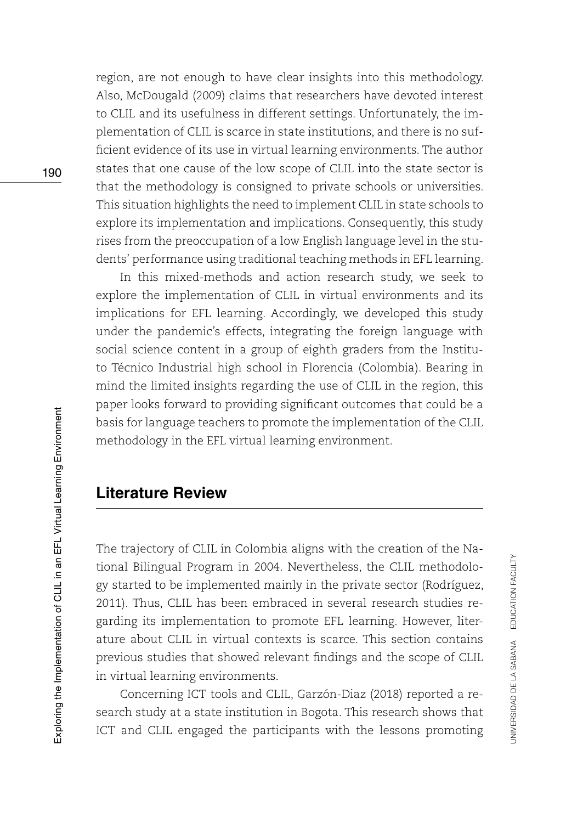region, are not enough to have clear insights into this methodology. Also, McDougald (2009) claims that researchers have devoted interest to CLIL and its usefulness in different settings. Unfortunately, the implementation of CLIL is scarce in state institutions, and there is no sufficient evidence of its use in virtual learning environments. The author states that one cause of the low scope of CLIL into the state sector is that the methodology is consigned to private schools or universities. This situation highlights the need to implement CLIL in state schools to explore its implementation and implications. Consequently, this study rises from the preoccupation of a low English language level in the students' performance using traditional teaching methods in EFL learning.

In this mixed-methods and action research study, we seek to explore the implementation of CLIL in virtual environments and its implications for EFL learning. Accordingly, we developed this study under the pandemic's effects, integrating the foreign language with social science content in a group of eighth graders from the Instituto Técnico Industrial high school in Florencia (Colombia). Bearing in mind the limited insights regarding the use of CLIL in the region, this paper looks forward to providing significant outcomes that could be a basis for language teachers to promote the implementation of the CLIL methodology in the EFL virtual learning environment.

# **Literature Review**

The trajectory of CLIL in Colombia aligns with the creation of the National Bilingual Program in 2004. Nevertheless, the CLIL methodology started to be implemented mainly in the private sector (Rodríguez, 2011). Thus, CLIL has been embraced in several research studies regarding its implementation to promote EFL learning. However, literature about CLIL in virtual contexts is scarce. This section contains previous studies that showed relevant findings and the scope of CLIL in virtual learning environments.

Concerning ICT tools and CLIL, Garzón-Diaz (2018) reported a research study at a state institution in Bogota. This research shows that ICT and CLIL engaged the participants with the lessons promoting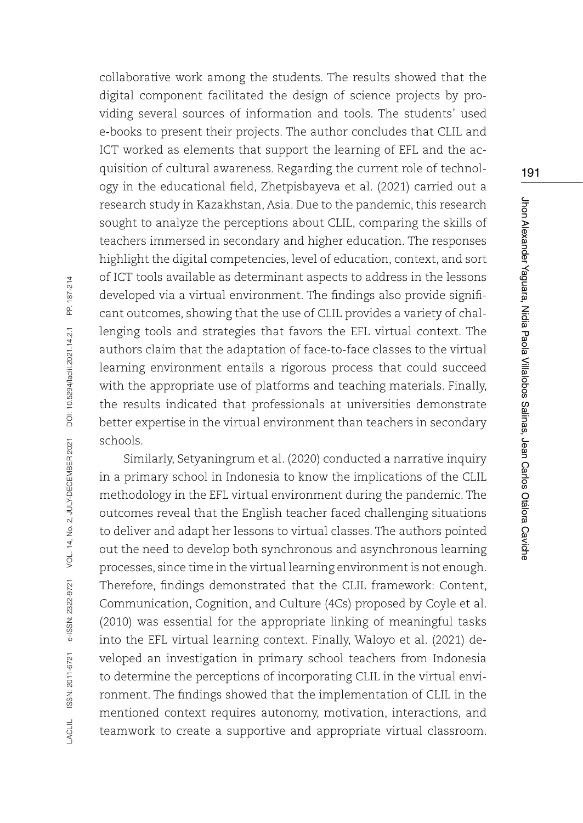collaborative work among the students. The results showed that the digital component facilitated the design of science projects by providing several sources of information and tools. The students' used e-books to present their projects. The author concludes that CLIL and ICT worked as elements that support the learning of EFL and the acquisition of cultural awareness. Regarding the current role of technology in the educational field, Zhetpisbayeva et al. (2021) carried out a research study in Kazakhstan, Asia. Due to the pandemic, this research sought to analyze the perceptions about CLIL, comparing the skills of teachers immersed in secondary and higher education. The responses highlight the digital competencies, level of education, context, and sort of ICT tools available as determinant aspects to address in the lessons developed via a virtual environment. The findings also provide significant outcomes, showing that the use of CLIL provides a variety of challenging tools and strategies that favors the EFL virtual context. The authors claim that the adaptation of face-to-face classes to the virtual learning environment entails a rigorous process that could succeed with the appropriate use of platforms and teaching materials. Finally, the results indicated that professionals at universities demonstrate better expertise in the virtual environment than teachers in secondary schools.

Similarly, Setyaningrum et al. (2020) conducted a narrative inquiry in a primary school in Indonesia to know the implications of the CLIL methodology in the EFL virtual environment during the pandemic. The outcomes reveal that the English teacher faced challenging situations to deliver and adapt her lessons to virtual classes. The authors pointed out the need to develop both synchronous and asynchronous learning processes, since time in the virtual learning environment is not enough. Therefore, findings demonstrated that the CLIL framework: Content, Communication, Cognition, and Culture (4Cs) proposed by Coyle et al. (2010) was essential for the appropriate linking of meaningful tasks into the EFL virtual learning context. Finally, Waloyo et al. (2021) developed an investigation in primary school teachers from Indonesia to determine the perceptions of incorporating CLIL in the virtual environment. The findings showed that the implementation of CLIL in the mentioned context requires autonomy, motivation, interactions, and teamwork to create a supportive and appropriate virtual classroom.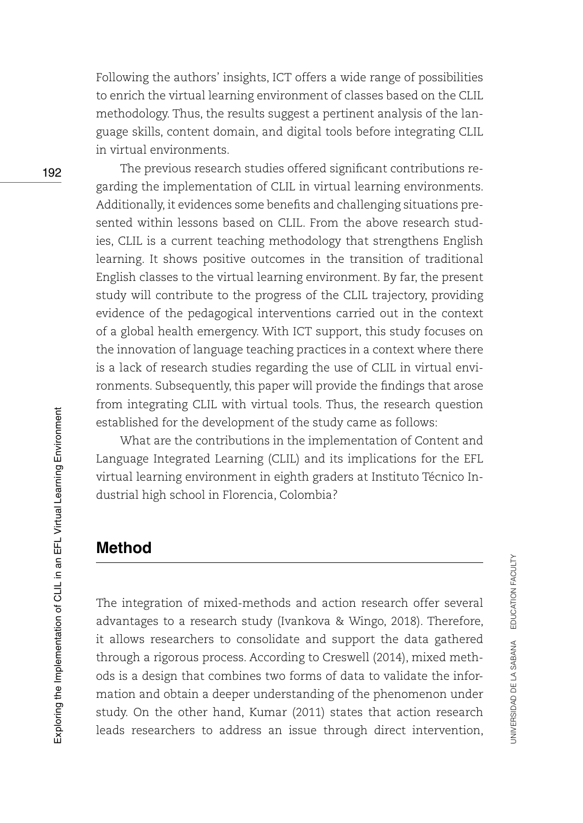Following the authors' insights, ICT offers a wide range of possibilities to enrich the virtual learning environment of classes based on the CLIL methodology. Thus, the results suggest a pertinent analysis of the language skills, content domain, and digital tools before integrating CLIL in virtual environments.

The previous research studies offered significant contributions regarding the implementation of CLIL in virtual learning environments. Additionally, it evidences some benefits and challenging situations presented within lessons based on CLIL. From the above research studies, CLIL is a current teaching methodology that strengthens English learning. It shows positive outcomes in the transition of traditional English classes to the virtual learning environment. By far, the present study will contribute to the progress of the CLIL trajectory, providing evidence of the pedagogical interventions carried out in the context of a global health emergency. With ICT support, this study focuses on the innovation of language teaching practices in a context where there is a lack of research studies regarding the use of CLIL in virtual environments. Subsequently, this paper will provide the findings that arose from integrating CLIL with virtual tools. Thus, the research question established for the development of the study came as follows:

What are the contributions in the implementation of Content and Language Integrated Learning (CLIL) and its implications for the EFL virtual learning environment in eighth graders at Instituto Técnico Industrial high school in Florencia, Colombia?

### **Method**

The integration of mixed-methods and action research offer several advantages to a research study (Ivankova & Wingo, 2018). Therefore, it allows researchers to consolidate and support the data gathered through a rigorous process. According to Creswell (2014), mixed methods is a design that combines two forms of data to validate the information and obtain a deeper understanding of the phenomenon under study. On the other hand, Kumar (2011) states that action research leads researchers to address an issue through direct intervention,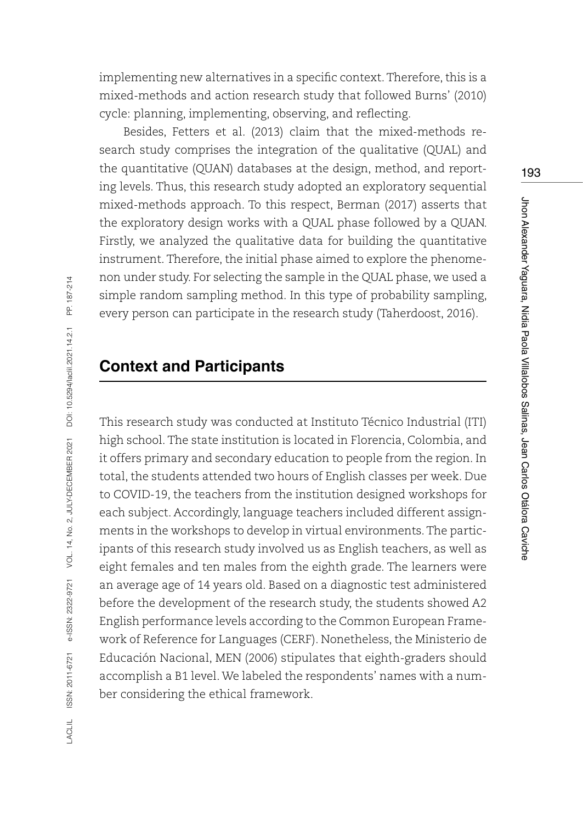implementing new alternatives in a specific context. Therefore, this is a mixed-methods and action research study that followed Burns' (2010) cycle: planning, implementing, observing, and reflecting.

Besides, Fetters et al. (2013) claim that the mixed-methods research study comprises the integration of the qualitative (QUAL) and the quantitative (QUAN) databases at the design, method, and reporting levels. Thus, this research study adopted an exploratory sequential mixed-methods approach. To this respect, Berman (2017) asserts that the exploratory design works with a QUAL phase followed by a QUAN. Firstly, we analyzed the qualitative data for building the quantitative instrument. Therefore, the initial phase aimed to explore the phenomenon under study. For selecting the sample in the QUAL phase, we used a simple random sampling method. In this type of probability sampling, every person can participate in the research study (Taherdoost, 2016).

### **Context and Participants**

This research study was conducted at Instituto Técnico Industrial (ITI) high school. The state institution is located in Florencia, Colombia, and it offers primary and secondary education to people from the region. In total, the students attended two hours of English classes per week. Due to COVID-19, the teachers from the institution designed workshops for each subject. Accordingly, language teachers included different assignments in the workshops to develop in virtual environments. The participants of this research study involved us as English teachers, as well as eight females and ten males from the eighth grade. The learners were an average age of 14 years old. Based on a diagnostic test administered before the development of the research study, the students showed A2 English performance levels according to the Common European Framework of Reference for Languages (CERF). Nonetheless, the Ministerio de Educación Nacional, MEN (2006) stipulates that eighth-graders should accomplish a B1 level. We labeled the respondents' names with a number considering the ethical framework.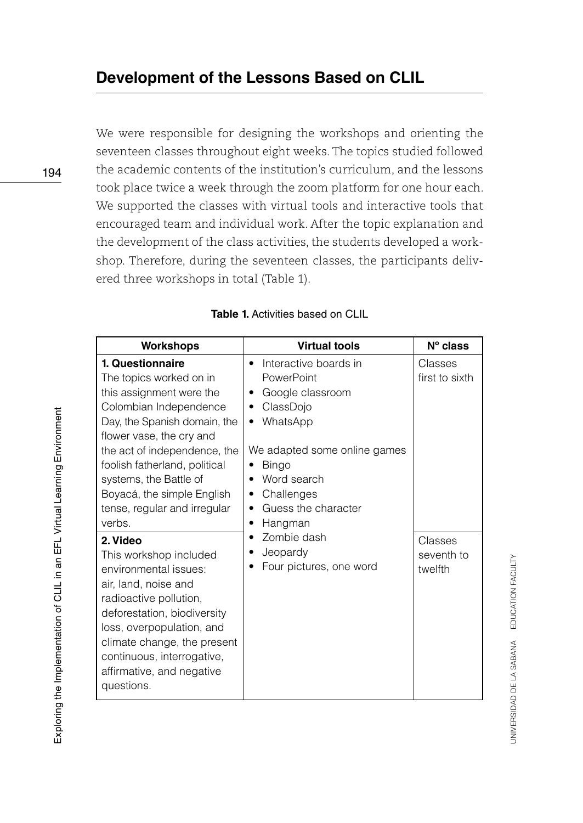We were responsible for designing the workshops and orienting the seventeen classes throughout eight weeks. The topics studied followed the academic contents of the institution's curriculum, and the lessons took place twice a week through the zoom platform for one hour each. We supported the classes with virtual tools and interactive tools that encouraged team and individual work. After the topic explanation and the development of the class activities, the students developed a workshop. Therefore, during the seventeen classes, the participants delivered three workshops in total (Table 1).

| <b>Workshops</b>                                                                                                                                                                                                                                                                                                                 | <b>Virtual tools</b>                                                                                                                                                                                                                            | $N^{\circ}$ class                |
|----------------------------------------------------------------------------------------------------------------------------------------------------------------------------------------------------------------------------------------------------------------------------------------------------------------------------------|-------------------------------------------------------------------------------------------------------------------------------------------------------------------------------------------------------------------------------------------------|----------------------------------|
| 1. Questionnaire<br>The topics worked on in<br>this assignment were the<br>Colombian Independence<br>Day, the Spanish domain, the<br>flower vase, the cry and<br>the act of independence, the<br>foolish fatherland, political<br>systems, the Battle of<br>Boyacá, the simple English<br>tense, regular and irregular<br>verbs. | Interactive boards in<br>٠<br>PowerPoint<br>Google classroom<br>٠<br>ClassDojo<br>٠<br>WhatsApp<br>٠<br>We adapted some online games<br><b>Bingo</b><br>Word search<br>٠<br>Challenges<br>٠<br>Guess the character<br>٠<br>Hangman<br>$\bullet$ | Classes<br>first to sixth        |
| 2. Video<br>This workshop included<br>environmental issues:<br>air, land, noise and<br>radioactive pollution,<br>deforestation, biodiversity<br>loss, overpopulation, and<br>climate change, the present<br>continuous, interrogative,<br>affirmative, and negative<br>questions.                                                | Zombie dash<br>Jeopardy<br>Four pictures, one word                                                                                                                                                                                              | Classes<br>seventh to<br>twelfth |

**Table 1.** Activities based on CLIL

194

UNIVERSIDAD DE LA SABANA EDUCATION FACULTY UNIVERSIDAD DE LA SABANA EDUCATION FACULTY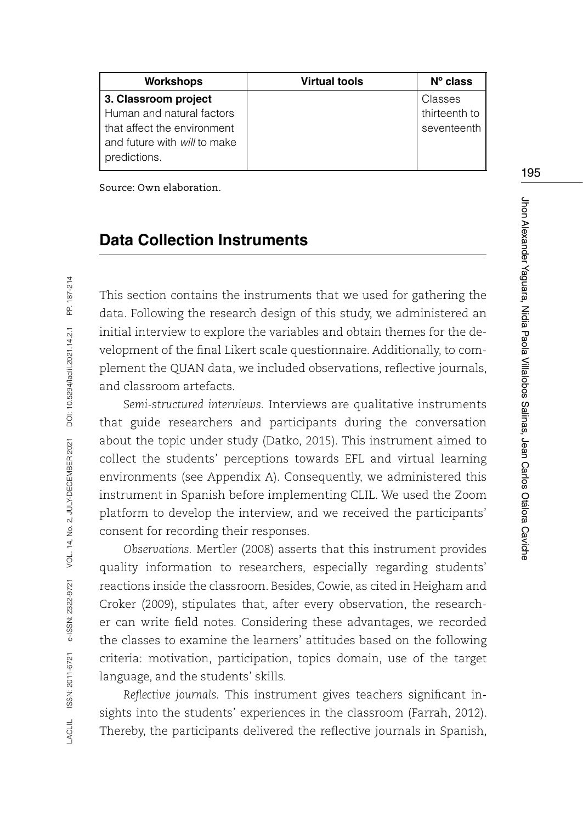| <b>Virtual tools</b> | $No$ class    |
|----------------------|---------------|
|                      | Classes       |
|                      | thirteenth to |
|                      | seventeenth   |
|                      |               |
|                      |               |
|                      |               |

Source: Own elaboration.

### **Data Collection Instruments**

This section contains the instruments that we used for gathering the data. Following the research design of this study, we administered an initial interview to explore the variables and obtain themes for the development of the final Likert scale questionnaire. Additionally, to complement the QUAN data, we included observations, reflective journals, and classroom artefacts.

*Semi-structured interviews.* Interviews are qualitative instruments that guide researchers and participants during the conversation about the topic under study (Datko, 2015). This instrument aimed to collect the students' perceptions towards EFL and virtual learning environments (see Appendix A). Consequently, we administered this instrument in Spanish before implementing CLIL. We used the Zoom platform to develop the interview, and we received the participants' consent for recording their responses.

*Observations.* Mertler (2008) asserts that this instrument provides quality information to researchers, especially regarding students' reactions inside the classroom. Besides, Cowie, as cited in Heigham and Croker (2009), stipulates that, after every observation, the researcher can write field notes. Considering these advantages, we recorded the classes to examine the learners' attitudes based on the following criteria: motivation, participation, topics domain, use of the target language, and the students' skills.

*Reflective journals.* This instrument gives teachers significant insights into the students' experiences in the classroom (Farrah, 2012). Thereby, the participants delivered the reflective journals in Spanish,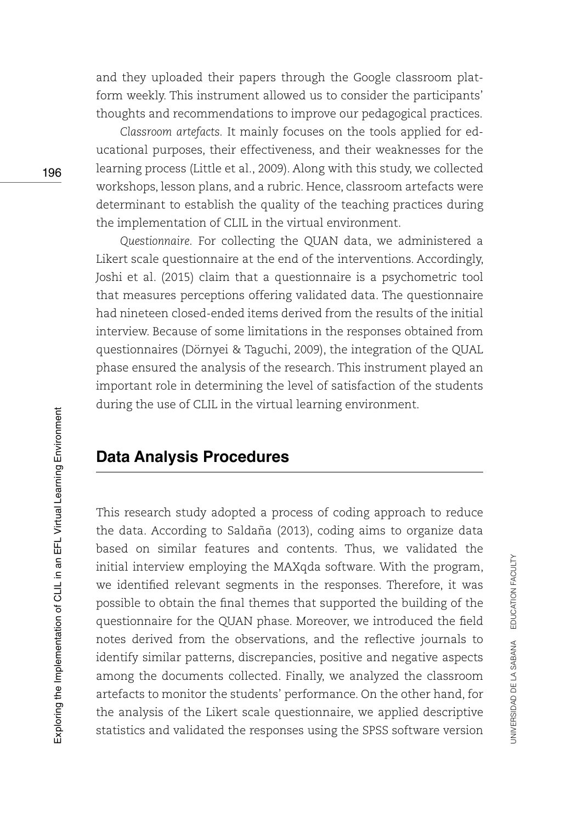and they uploaded their papers through the Google classroom platform weekly. This instrument allowed us to consider the participants' thoughts and recommendations to improve our pedagogical practices.

*Classroom artefacts.* It mainly focuses on the tools applied for educational purposes, their effectiveness, and their weaknesses for the learning process (Little et al., 2009). Along with this study, we collected workshops, lesson plans, and a rubric. Hence, classroom artefacts were determinant to establish the quality of the teaching practices during the implementation of CLIL in the virtual environment.

*Questionnaire.* For collecting the QUAN data, we administered a Likert scale questionnaire at the end of the interventions. Accordingly, Joshi et al. (2015) claim that a questionnaire is a psychometric tool that measures perceptions offering validated data. The questionnaire had nineteen closed-ended items derived from the results of the initial interview. Because of some limitations in the responses obtained from questionnaires (Dörnyei & Taguchi, 2009), the integration of the QUAL phase ensured the analysis of the research. This instrument played an important role in determining the level of satisfaction of the students during the use of CLIL in the virtual learning environment.

# **Data Analysis Procedures**

This research study adopted a process of coding approach to reduce the data. According to Saldaña (2013), coding aims to organize data based on similar features and contents. Thus, we validated the initial interview employing the MAXqda software. With the program, we identified relevant segments in the responses. Therefore, it was possible to obtain the final themes that supported the building of the questionnaire for the QUAN phase. Moreover, we introduced the field notes derived from the observations, and the reflective journals to identify similar patterns, discrepancies, positive and negative aspects among the documents collected. Finally, we analyzed the classroom artefacts to monitor the students' performance. On the other hand, for the analysis of the Likert scale questionnaire, we applied descriptive statistics and validated the responses using the SPSS software version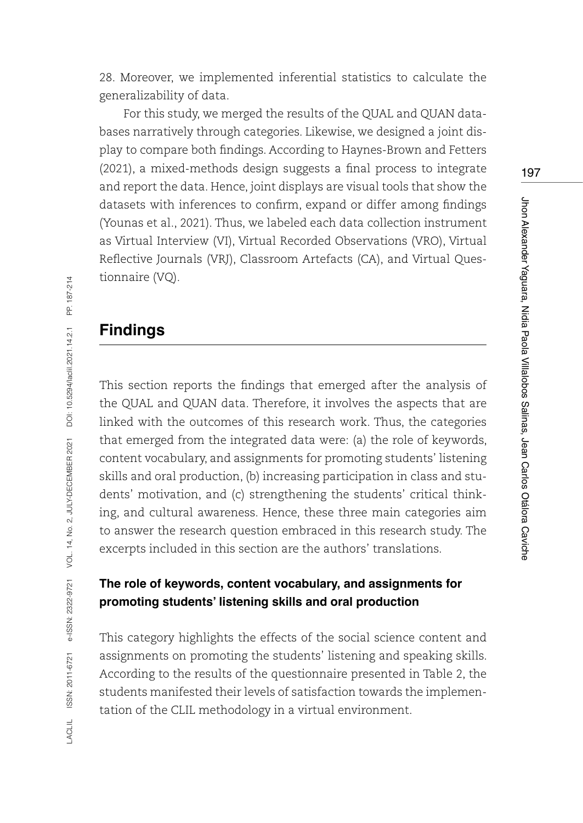28. Moreover, we implemented inferential statistics to calculate the generalizability of data.

For this study, we merged the results of the QUAL and QUAN databases narratively through categories. Likewise, we designed a joint display to compare both findings. According to Haynes-Brown and Fetters (2021), a mixed-methods design suggests a final process to integrate and report the data. Hence, joint displays are visual tools that show the datasets with inferences to confirm, expand or differ among findings (Younas et al., 2021). Thus, we labeled each data collection instrument as Virtual Interview (VI), Virtual Recorded Observations (VRO), Virtual Reflective Journals (VRJ), Classroom Artefacts (CA), and Virtual Questionnaire (VQ).

# **Findings**

This section reports the findings that emerged after the analysis of the QUAL and QUAN data. Therefore, it involves the aspects that are linked with the outcomes of this research work. Thus, the categories that emerged from the integrated data were: (a) the role of keywords, content vocabulary, and assignments for promoting students' listening skills and oral production, (b) increasing participation in class and students' motivation, and (c) strengthening the students' critical thinking, and cultural awareness. Hence, these three main categories aim to answer the research question embraced in this research study. The excerpts included in this section are the authors' translations.

### **The role of keywords, content vocabulary, and assignments for promoting students' listening skills and oral production**

This category highlights the effects of the social science content and assignments on promoting the students' listening and speaking skills. According to the results of the questionnaire presented in Table 2, the students manifested their levels of satisfaction towards the implementation of the CLIL methodology in a virtual environment.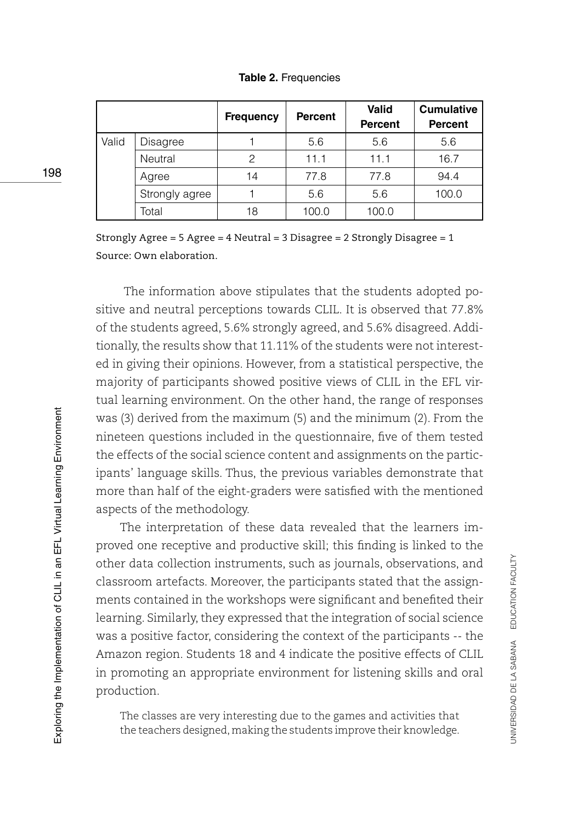|       |                | <b>Frequency</b> | <b>Percent</b> | Valid<br><b>Percent</b> | <b>Cumulative</b><br><b>Percent</b> |
|-------|----------------|------------------|----------------|-------------------------|-------------------------------------|
| Valid | Disagree       |                  | 5.6            | 5.6                     | 5.6                                 |
|       | Neutral        | 2                | 11.1           | 11.1                    | 16.7                                |
|       | Agree          | 14               | 77.8           | 77.8                    | 94.4                                |
|       | Strongly agree |                  | 5.6            | 5.6                     | 100.0                               |
|       | Total          | 18               | 100.0          | 100.0                   |                                     |

**Table 2.** Frequencies

Strongly Agree = 5 Agree = 4 Neutral = 3 Disagree = 2 Strongly Disagree = 1 Source: Own elaboration.

 The information above stipulates that the students adopted positive and neutral perceptions towards CLIL. It is observed that 77.8% of the students agreed, 5.6% strongly agreed, and 5.6% disagreed. Additionally, the results show that 11.11% of the students were not interested in giving their opinions. However, from a statistical perspective, the majority of participants showed positive views of CLIL in the EFL virtual learning environment. On the other hand, the range of responses was (3) derived from the maximum (5) and the minimum (2). From the nineteen questions included in the questionnaire, five of them tested the effects of the social science content and assignments on the participants' language skills. Thus, the previous variables demonstrate that more than half of the eight-graders were satisfied with the mentioned aspects of the methodology.

The interpretation of these data revealed that the learners improved one receptive and productive skill; this finding is linked to the other data collection instruments, such as journals, observations, and classroom artefacts. Moreover, the participants stated that the assignments contained in the workshops were significant and benefited their learning. Similarly, they expressed that the integration of social science was a positive factor, considering the context of the participants -- the Amazon region. Students 18 and 4 indicate the positive effects of CLIL in promoting an appropriate environment for listening skills and oral production.

The classes are very interesting due to the games and activities that the teachers designed, making the students improve their knowledge.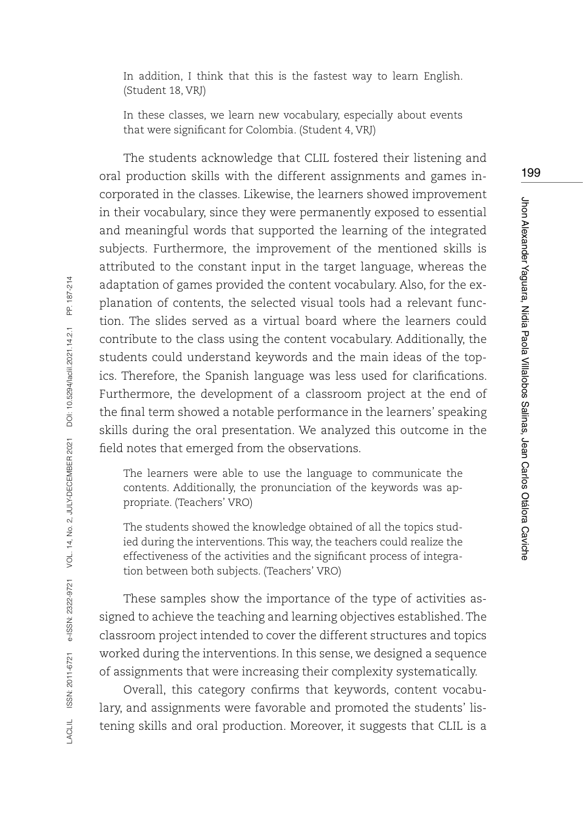In addition, I think that this is the fastest way to learn English. (Student 18, VRJ)

In these classes, we learn new vocabulary, especially about events that were significant for Colombia. (Student 4, VRJ)

199

Jhon Alexander Yaguara, Nidia Paola Villalobos Salinas, Jean Carlos Otálora Caviche

Jhon Alexander Yaguara, Nidia Paola Villalobos Salinas, Jean Carlos Otálora Caviche

The students acknowledge that CLIL fostered their listening and oral production skills with the different assignments and games incorporated in the classes. Likewise, the learners showed improvement in their vocabulary, since they were permanently exposed to essential and meaningful words that supported the learning of the integrated subjects. Furthermore, the improvement of the mentioned skills is attributed to the constant input in the target language, whereas the adaptation of games provided the content vocabulary. Also, for the explanation of contents, the selected visual tools had a relevant function. The slides served as a virtual board where the learners could contribute to the class using the content vocabulary. Additionally, the students could understand keywords and the main ideas of the topics. Therefore, the Spanish language was less used for clarifications. Furthermore, the development of a classroom project at the end of the final term showed a notable performance in the learners' speaking skills during the oral presentation. We analyzed this outcome in the field notes that emerged from the observations.

The learners were able to use the language to communicate the contents. Additionally, the pronunciation of the keywords was appropriate. (Teachers' VRO)

The students showed the knowledge obtained of all the topics studied during the interventions. This way, the teachers could realize the effectiveness of the activities and the significant process of integration between both subjects. (Teachers' VRO)

These samples show the importance of the type of activities assigned to achieve the teaching and learning objectives established. The classroom project intended to cover the different structures and topics worked during the interventions. In this sense, we designed a sequence of assignments that were increasing their complexity systematically.

Overall, this category confirms that keywords, content vocabulary, and assignments were favorable and promoted the students' listening skills and oral production. Moreover, it suggests that CLIL is a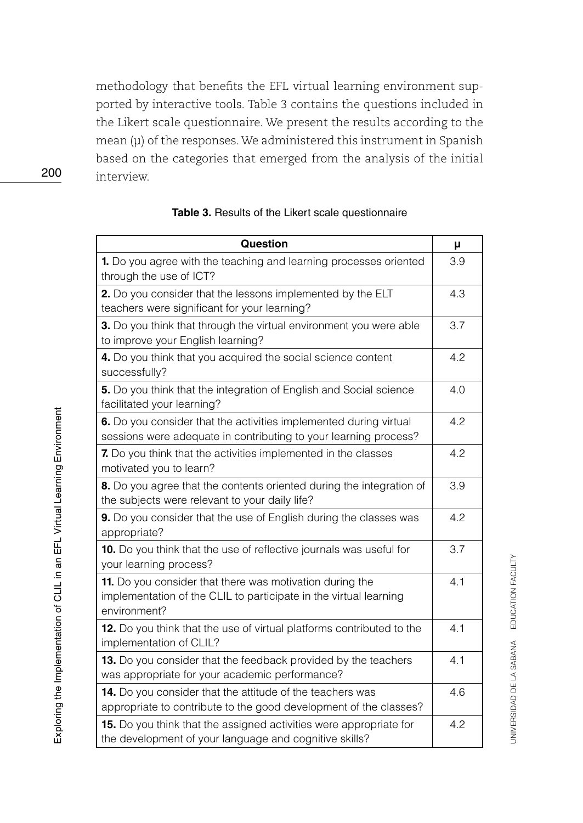methodology that benefits the EFL virtual learning environment supported by interactive tools. Table 3 contains the questions included in the Likert scale questionnaire. We present the results according to the mean (μ) of the responses. We administered this instrument in Spanish based on the categories that emerged from the analysis of the initial interview.

| Question                                                                                                                                      | μ   |
|-----------------------------------------------------------------------------------------------------------------------------------------------|-----|
| 1. Do you agree with the teaching and learning processes oriented<br>through the use of ICT?                                                  | 3.9 |
| 2. Do you consider that the lessons implemented by the ELT<br>teachers were significant for your learning?                                    | 4.3 |
| 3. Do you think that through the virtual environment you were able<br>to improve your English learning?                                       | 3.7 |
| 4. Do you think that you acquired the social science content<br>successfully?                                                                 | 4.2 |
| 5. Do you think that the integration of English and Social science<br>facilitated your learning?                                              | 4.0 |
| 6. Do you consider that the activities implemented during virtual<br>sessions were adequate in contributing to your learning process?         | 4.2 |
| 7. Do you think that the activities implemented in the classes<br>motivated you to learn?                                                     | 4.2 |
| 8. Do you agree that the contents oriented during the integration of<br>the subjects were relevant to your daily life?                        | 3.9 |
| 9. Do you consider that the use of English during the classes was<br>appropriate?                                                             | 4.2 |
| 10. Do you think that the use of reflective journals was useful for<br>your learning process?                                                 | 3.7 |
| 11. Do you consider that there was motivation during the<br>implementation of the CLIL to participate in the virtual learning<br>environment? | 4.1 |
| 12. Do you think that the use of virtual platforms contributed to the<br>implementation of CLIL?                                              | 4.1 |
| 13. Do you consider that the feedback provided by the teachers<br>was appropriate for your academic performance?                              | 4.1 |
| 14. Do you consider that the attitude of the teachers was<br>appropriate to contribute to the good development of the classes?                | 4.6 |
| 15. Do you think that the assigned activities were appropriate for<br>the development of your language and cognitive skills?                  | 4.2 |

#### **Table 3.** Results of the Likert scale questionnaire

200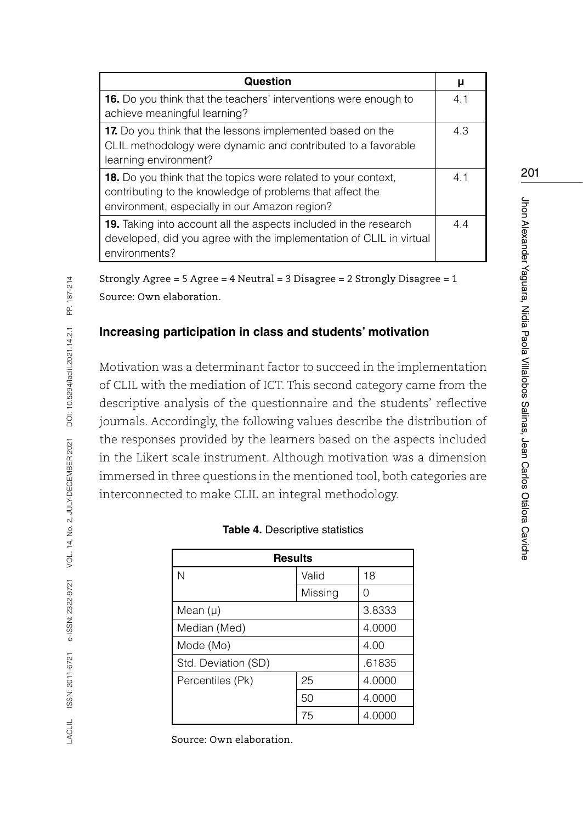| Question                                                                                                                                                                            | μ   |  |
|-------------------------------------------------------------------------------------------------------------------------------------------------------------------------------------|-----|--|
| <b>16.</b> Do you think that the teachers' interventions were enough to<br>achieve meaningful learning?                                                                             | 4.1 |  |
| 17. Do you think that the lessons implemented based on the<br>CLIL methodology were dynamic and contributed to a favorable<br>learning environment?                                 | 4.3 |  |
| <b>18.</b> Do you think that the topics were related to your context,<br>contributing to the knowledge of problems that affect the<br>environment, especially in our Amazon region? |     |  |
| <b>19.</b> Taking into account all the aspects included in the research<br>developed, did you agree with the implementation of CLIL in virtual<br>environments?                     | 44  |  |

Strongly Agree = 5 Agree = 4 Neutral = 3 Disagree = 2 Strongly Disagree = 1 Source: Own elaboration.

### **Increasing participation in class and students' motivation**

Motivation was a determinant factor to succeed in the implementation of CLIL with the mediation of ICT. This second category came from the descriptive analysis of the questionnaire and the students' reflective journals. Accordingly, the following values describe the distribution of the responses provided by the learners based on the aspects included in the Likert scale instrument. Although motivation was a dimension immersed in three questions in the mentioned tool, both categories are interconnected to make CLIL an integral methodology.

| <b>Results</b>      |         |        |  |
|---------------------|---------|--------|--|
| N                   | Valid   | 18     |  |
|                     | Missing | O      |  |
| Mean $(\mu)$        | 3.8333  |        |  |
| Median (Med)        |         | 4.0000 |  |
| Mode (Mo)           | 4.00    |        |  |
| Std. Deviation (SD) | .61835  |        |  |
| Percentiles (Pk)    | 25      | 4.0000 |  |
|                     | 50      | 4.0000 |  |
|                     | 75      | 4.0000 |  |

Source: Own elaboration.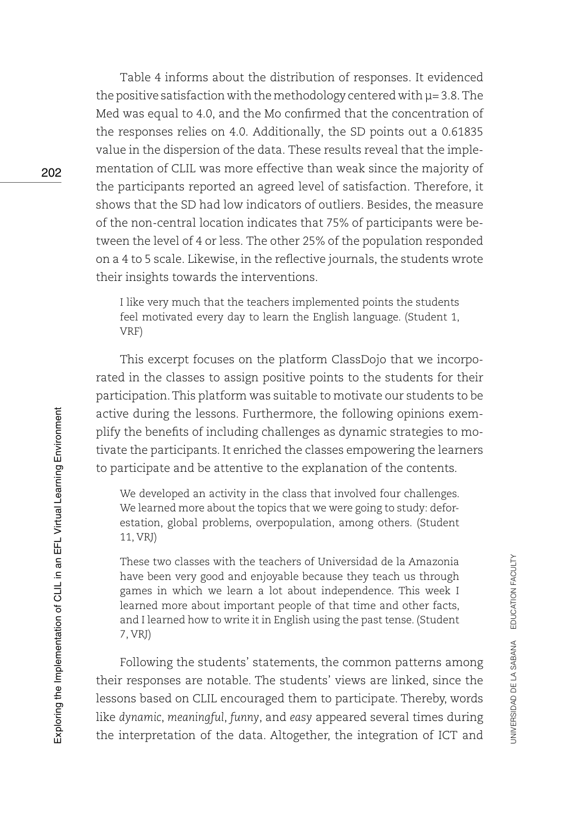Table 4 informs about the distribution of responses. It evidenced the positive satisfaction with the methodology centered with  $\mu$  = 3.8. The Med was equal to 4.0, and the Mo confirmed that the concentration of the responses relies on 4.0. Additionally, the SD points out a 0.61835 value in the dispersion of the data. These results reveal that the implementation of CLIL was more effective than weak since the majority of the participants reported an agreed level of satisfaction. Therefore, it shows that the SD had low indicators of outliers. Besides, the measure of the non-central location indicates that 75% of participants were between the level of 4 or less. The other 25% of the population responded on a 4 to 5 scale. Likewise, in the reflective journals, the students wrote their insights towards the interventions.

I like very much that the teachers implemented points the students feel motivated every day to learn the English language. (Student 1, VRF)

This excerpt focuses on the platform ClassDojo that we incorporated in the classes to assign positive points to the students for their participation. This platform was suitable to motivate our students to be active during the lessons. Furthermore, the following opinions exemplify the benefits of including challenges as dynamic strategies to motivate the participants. It enriched the classes empowering the learners to participate and be attentive to the explanation of the contents.

We developed an activity in the class that involved four challenges. We learned more about the topics that we were going to study: deforestation, global problems, overpopulation, among others. (Student 11, VRJ)

These two classes with the teachers of Universidad de la Amazonia have been very good and enjoyable because they teach us through games in which we learn a lot about independence. This week I learned more about important people of that time and other facts, and I learned how to write it in English using the past tense. (Student 7, VRJ)

Following the students' statements, the common patterns among their responses are notable. The students' views are linked, since the lessons based on CLIL encouraged them to participate. Thereby, words like *dynamic*, *meaningful*, *funny*, and *easy* appeared several times during the interpretation of the data. Altogether, the integration of ICT and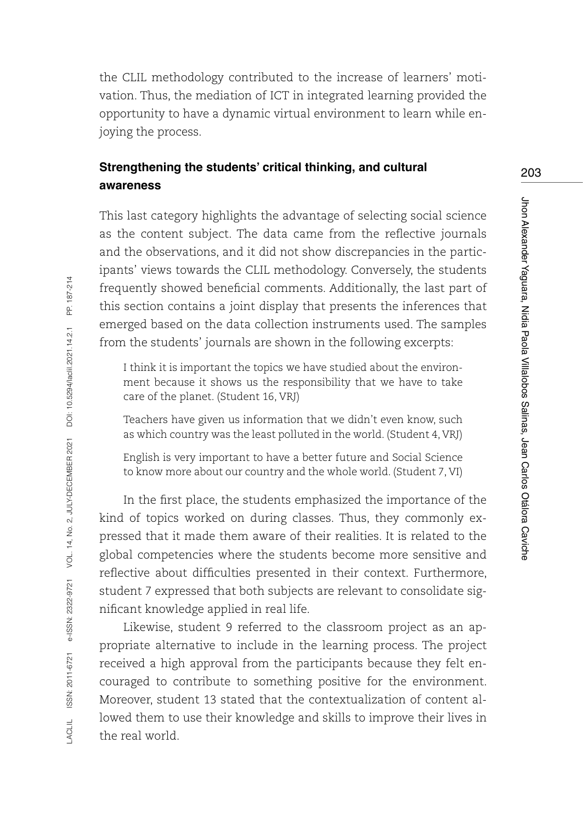the CLIL methodology contributed to the increase of learners' motivation. Thus, the mediation of ICT in integrated learning provided the opportunity to have a dynamic virtual environment to learn while enjoying the process.

### **Strengthening the students' critical thinking, and cultural awareness**

This last category highlights the advantage of selecting social science as the content subject. The data came from the reflective journals and the observations, and it did not show discrepancies in the participants' views towards the CLIL methodology. Conversely, the students frequently showed beneficial comments. Additionally, the last part of this section contains a joint display that presents the inferences that emerged based on the data collection instruments used. The samples from the students' journals are shown in the following excerpts:

I think it is important the topics we have studied about the environment because it shows us the responsibility that we have to take care of the planet. (Student 16, VRJ)

Teachers have given us information that we didn't even know, such as which country was the least polluted in the world. (Student 4, VRJ)

English is very important to have a better future and Social Science to know more about our country and the whole world. (Student 7, VI)

In the first place, the students emphasized the importance of the kind of topics worked on during classes. Thus, they commonly expressed that it made them aware of their realities. It is related to the global competencies where the students become more sensitive and reflective about difficulties presented in their context. Furthermore, student 7 expressed that both subjects are relevant to consolidate significant knowledge applied in real life.

Likewise, student 9 referred to the classroom project as an appropriate alternative to include in the learning process. The project received a high approval from the participants because they felt encouraged to contribute to something positive for the environment. Moreover, student 13 stated that the contextualization of content allowed them to use their knowledge and skills to improve their lives in the real world.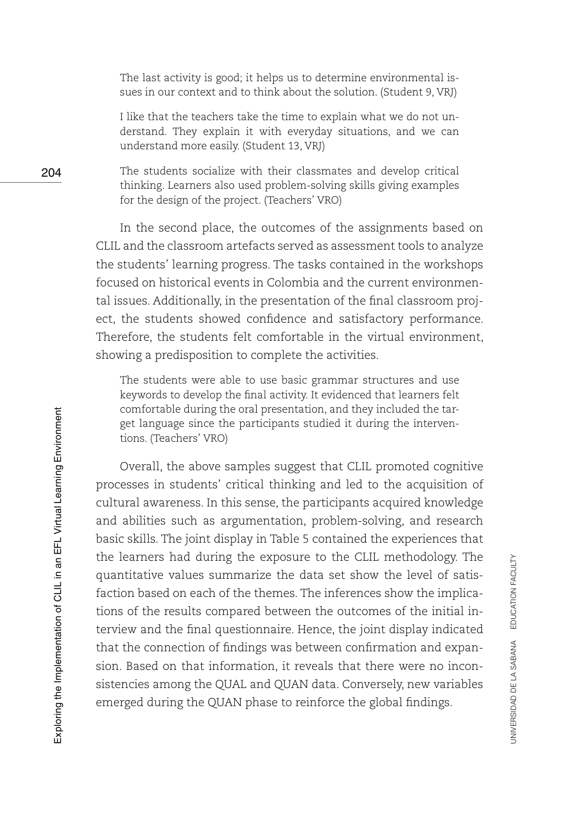The last activity is good; it helps us to determine environmental issues in our context and to think about the solution. (Student 9, VRJ)

I like that the teachers take the time to explain what we do not understand. They explain it with everyday situations, and we can understand more easily. (Student 13, VRJ)

The students socialize with their classmates and develop critical thinking. Learners also used problem-solving skills giving examples for the design of the project. (Teachers' VRO)

In the second place, the outcomes of the assignments based on CLIL and the classroom artefacts served as assessment tools to analyze the students' learning progress. The tasks contained in the workshops focused on historical events in Colombia and the current environmental issues. Additionally, in the presentation of the final classroom project, the students showed confidence and satisfactory performance. Therefore, the students felt comfortable in the virtual environment, showing a predisposition to complete the activities.

The students were able to use basic grammar structures and use keywords to develop the final activity. It evidenced that learners felt comfortable during the oral presentation, and they included the target language since the participants studied it during the interventions. (Teachers' VRO)

Overall, the above samples suggest that CLIL promoted cognitive processes in students' critical thinking and led to the acquisition of cultural awareness. In this sense, the participants acquired knowledge and abilities such as argumentation, problem-solving, and research basic skills. The joint display in Table 5 contained the experiences that the learners had during the exposure to the CLIL methodology. The quantitative values summarize the data set show the level of satisfaction based on each of the themes. The inferences show the implications of the results compared between the outcomes of the initial interview and the final questionnaire. Hence, the joint display indicated that the connection of findings was between confirmation and expansion. Based on that information, it reveals that there were no inconsistencies among the QUAL and QUAN data. Conversely, new variables emerged during the QUAN phase to reinforce the global findings.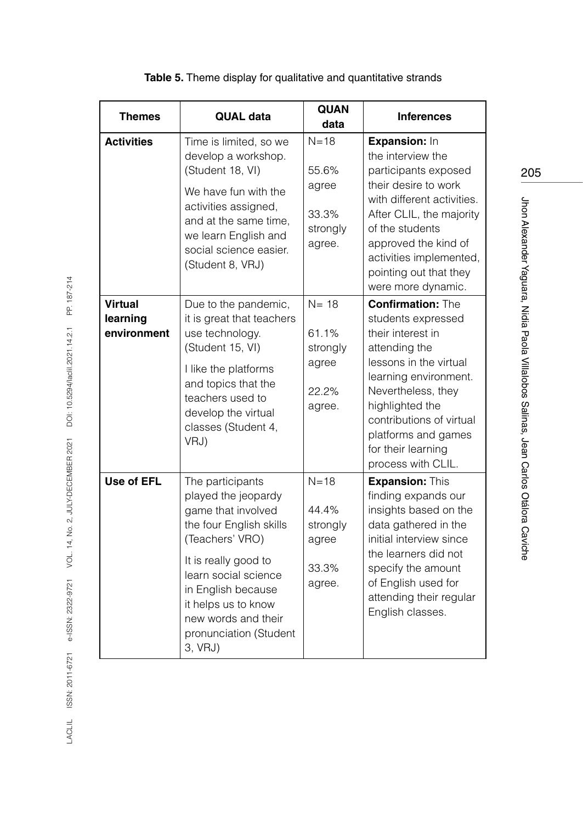| <b>Themes</b>                             | <b>QUAL data</b>                                                                                                                                                                                                                                                     | <b>QUAN</b><br>data                                       | <b>Inferences</b>                                                                                                                                                                                                                                                               |
|-------------------------------------------|----------------------------------------------------------------------------------------------------------------------------------------------------------------------------------------------------------------------------------------------------------------------|-----------------------------------------------------------|---------------------------------------------------------------------------------------------------------------------------------------------------------------------------------------------------------------------------------------------------------------------------------|
| <b>Activities</b>                         | Time is limited, so we<br>develop a workshop.<br>(Student 18, VI)<br>We have fun with the<br>activities assigned,<br>and at the same time,<br>we learn English and<br>social science easier.<br>(Student 8, VRJ)                                                     | $N=18$<br>55.6%<br>agree<br>33.3%<br>strongly<br>agree.   | Expansion: In<br>the interview the<br>participants exposed<br>their desire to work<br>with different activities.<br>After CLIL, the majority<br>of the students<br>approved the kind of<br>activities implemented,<br>pointing out that they<br>were more dynamic.              |
| <b>Virtual</b><br>learning<br>environment | Due to the pandemic,<br>it is great that teachers<br>use technology.<br>(Student 15, VI)<br>I like the platforms<br>and topics that the<br>teachers used to<br>develop the virtual<br>classes (Student 4,<br>VRJ)                                                    | $N = 18$<br>61.1%<br>strongly<br>agree<br>22.2%<br>agree. | <b>Confirmation: The</b><br>students expressed<br>their interest in<br>attending the<br>lessons in the virtual<br>learning environment.<br>Nevertheless, they<br>highlighted the<br>contributions of virtual<br>platforms and games<br>for their learning<br>process with CLIL. |
| Use of EFL                                | The participants<br>played the jeopardy<br>game that involved<br>the four English skills<br>(Teachers' VRO)<br>It is really good to<br>learn social science<br>in English because<br>it helps us to know<br>new words and their<br>pronunciation (Student<br>3, VRJ) | $N = 18$<br>44.4%<br>strongly<br>agree<br>33.3%<br>agree. | <b>Expansion: This</b><br>finding expands our<br>insights based on the<br>data gathered in the<br>initial interview since<br>the learners did not<br>specify the amount<br>of English used for<br>attending their regular<br>English classes.                                   |

### **Table 5.** Theme display for qualitative and quantitative strands

205

Jhon Alexander Yaguara, Nidia Paola Villalobos Salinas, Jean Carlos Otálora Caviche Jhon Alexander Yaguara, Nidia Paola Villalobos Salinas, Jean Carlos Otálora Caviche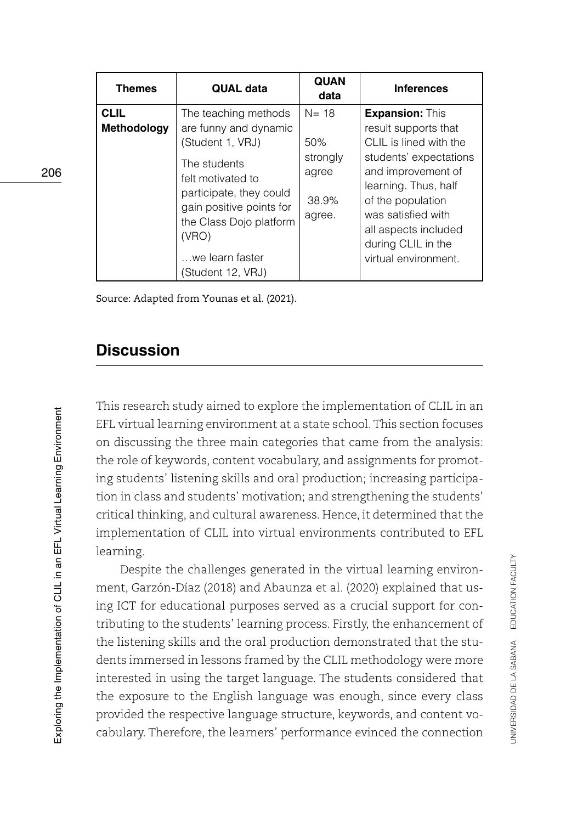| <b>Themes</b>                     | <b>QUAL data</b>                                                                                                                                                                                                                          | <b>QUAN</b><br>data                                     | <b>Inferences</b>                                                                                                                                                                                                                                                 |
|-----------------------------------|-------------------------------------------------------------------------------------------------------------------------------------------------------------------------------------------------------------------------------------------|---------------------------------------------------------|-------------------------------------------------------------------------------------------------------------------------------------------------------------------------------------------------------------------------------------------------------------------|
| <b>CLIL</b><br><b>Methodology</b> | The teaching methods<br>are funny and dynamic<br>(Student 1, VRJ)<br>The students<br>felt motivated to<br>participate, they could<br>gain positive points for<br>the Class Dojo platform<br>(VRO)<br>we learn faster<br>(Student 12, VRJ) | $N = 18$<br>50%<br>strongly<br>agree<br>38.9%<br>agree. | <b>Expansion: This</b><br>result supports that<br>CLIL is lined with the<br>students' expectations<br>and improvement of<br>learning. Thus, half<br>of the population<br>was satisfied with<br>all aspects included<br>during CLIL in the<br>virtual environment. |

Source: Adapted from Younas et al. (2021).

# **Discussion**

This research study aimed to explore the implementation of CLIL in an EFL virtual learning environment at a state school. This section focuses on discussing the three main categories that came from the analysis: the role of keywords, content vocabulary, and assignments for promoting students' listening skills and oral production; increasing participation in class and students' motivation; and strengthening the students' critical thinking, and cultural awareness. Hence, it determined that the implementation of CLIL into virtual environments contributed to EFL learning.

Despite the challenges generated in the virtual learning environment, Garzón-Díaz (2018) and Abaunza et al. (2020) explained that using ICT for educational purposes served as a crucial support for contributing to the students' learning process. Firstly, the enhancement of the listening skills and the oral production demonstrated that the students immersed in lessons framed by the CLIL methodology were more interested in using the target language. The students considered that the exposure to the English language was enough, since every class provided the respective language structure, keywords, and content vocabulary. Therefore, the learners' performance evinced the connection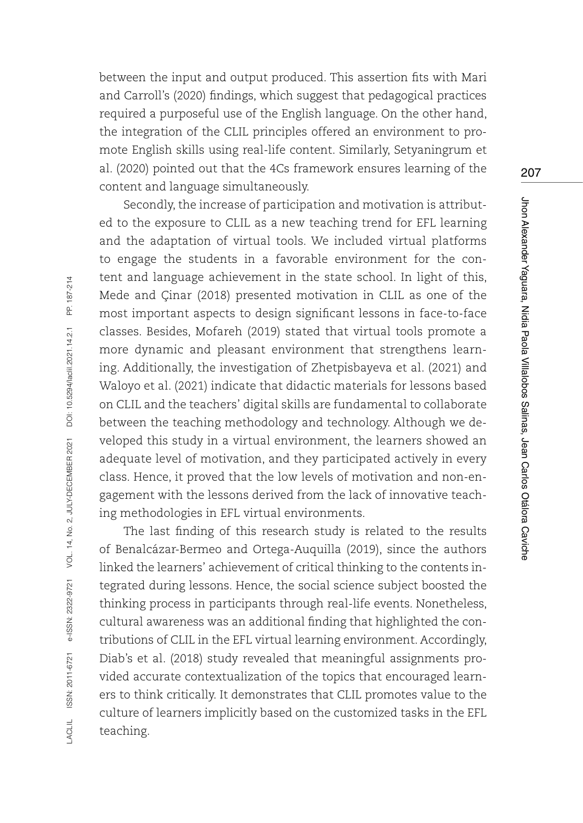between the input and output produced. This assertion fits with Mari and Carroll's (2020) findings, which suggest that pedagogical practices required a purposeful use of the English language. On the other hand, the integration of the CLIL principles offered an environment to promote English skills using real-life content. Similarly, Setyaningrum et al. (2020) pointed out that the 4Cs framework ensures learning of the content and language simultaneously.

Secondly, the increase of participation and motivation is attributed to the exposure to CLIL as a new teaching trend for EFL learning and the adaptation of virtual tools. We included virtual platforms to engage the students in a favorable environment for the content and language achievement in the state school. In light of this, Mede and Çinar (2018) presented motivation in CLIL as one of the most important aspects to design significant lessons in face-to-face classes. Besides, Mofareh (2019) stated that virtual tools promote a more dynamic and pleasant environment that strengthens learning. Additionally, the investigation of Zhetpisbayeva et al. (2021) and Waloyo et al. (2021) indicate that didactic materials for lessons based on CLIL and the teachers' digital skills are fundamental to collaborate between the teaching methodology and technology. Although we developed this study in a virtual environment, the learners showed an adequate level of motivation, and they participated actively in every class. Hence, it proved that the low levels of motivation and non-engagement with the lessons derived from the lack of innovative teaching methodologies in EFL virtual environments.

The last finding of this research study is related to the results of Benalcázar-Bermeo and Ortega-Auquilla (2019), since the authors linked the learners' achievement of critical thinking to the contents integrated during lessons. Hence, the social science subject boosted the thinking process in participants through real-life events. Nonetheless, cultural awareness was an additional finding that highlighted the contributions of CLIL in the EFL virtual learning environment. Accordingly, Diab's et al. (2018) study revealed that meaningful assignments provided accurate contextualization of the topics that encouraged learners to think critically. It demonstrates that CLIL promotes value to the culture of learners implicitly based on the customized tasks in the EFL teaching.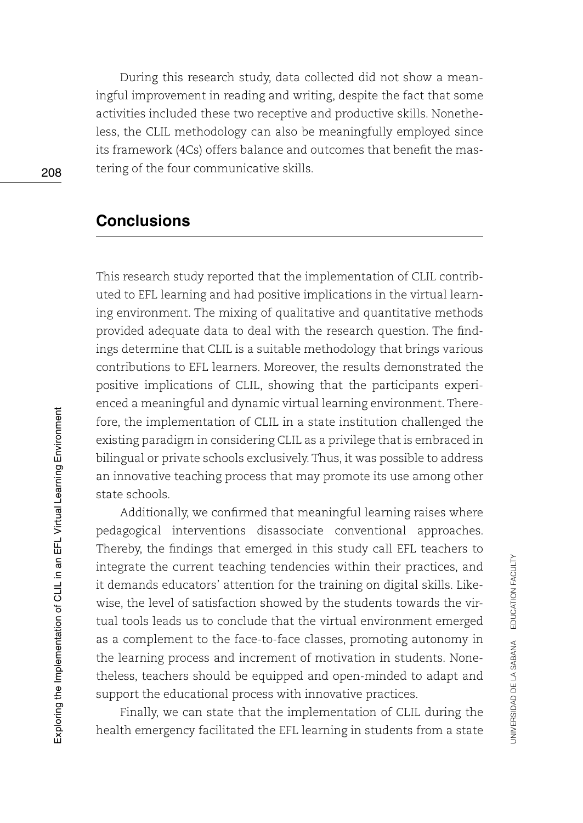During this research study, data collected did not show a meaningful improvement in reading and writing, despite the fact that some activities included these two receptive and productive skills. Nonetheless, the CLIL methodology can also be meaningfully employed since its framework (4Cs) offers balance and outcomes that benefit the mastering of the four communicative skills.

# **Conclusions**

This research study reported that the implementation of CLIL contributed to EFL learning and had positive implications in the virtual learning environment. The mixing of qualitative and quantitative methods provided adequate data to deal with the research question. The findings determine that CLIL is a suitable methodology that brings various contributions to EFL learners. Moreover, the results demonstrated the positive implications of CLIL, showing that the participants experienced a meaningful and dynamic virtual learning environment. Therefore, the implementation of CLIL in a state institution challenged the existing paradigm in considering CLIL as a privilege that is embraced in bilingual or private schools exclusively. Thus, it was possible to address an innovative teaching process that may promote its use among other state schools.

Additionally, we confirmed that meaningful learning raises where pedagogical interventions disassociate conventional approaches. Thereby, the findings that emerged in this study call EFL teachers to integrate the current teaching tendencies within their practices, and it demands educators' attention for the training on digital skills. Likewise, the level of satisfaction showed by the students towards the virtual tools leads us to conclude that the virtual environment emerged as a complement to the face-to-face classes, promoting autonomy in the learning process and increment of motivation in students. Nonetheless, teachers should be equipped and open-minded to adapt and support the educational process with innovative practices.

Finally, we can state that the implementation of CLIL during the health emergency facilitated the EFL learning in students from a state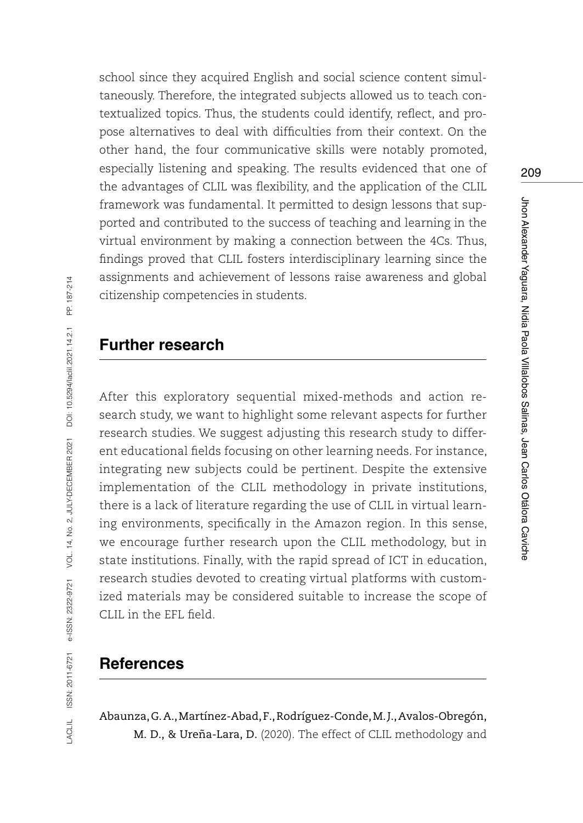school since they acquired English and social science content simultaneously. Therefore, the integrated subjects allowed us to teach contextualized topics. Thus, the students could identify, reflect, and propose alternatives to deal with difficulties from their context. On the other hand, the four communicative skills were notably promoted, especially listening and speaking. The results evidenced that one of the advantages of CLIL was flexibility, and the application of the CLIL framework was fundamental. It permitted to design lessons that supported and contributed to the success of teaching and learning in the virtual environment by making a connection between the 4Cs. Thus, findings proved that CLIL fosters interdisciplinary learning since the assignments and achievement of lessons raise awareness and global citizenship competencies in students.

### **Further research**

After this exploratory sequential mixed-methods and action research study, we want to highlight some relevant aspects for further research studies. We suggest adjusting this research study to different educational fields focusing on other learning needs. For instance, integrating new subjects could be pertinent. Despite the extensive implementation of the CLIL methodology in private institutions, there is a lack of literature regarding the use of CLIL in virtual learning environments, specifically in the Amazon region. In this sense, we encourage further research upon the CLIL methodology, but in state institutions. Finally, with the rapid spread of ICT in education, research studies devoted to creating virtual platforms with customized materials may be considered suitable to increase the scope of CLIL in the EFL field.

# **References**

Abaunza, G. A., Martínez-Abad, F., Rodríguez-Conde, M. J., Avalos-Obregón, M. D., & Ureña-Lara, D. (2020). The effect of CLIL methodology and 209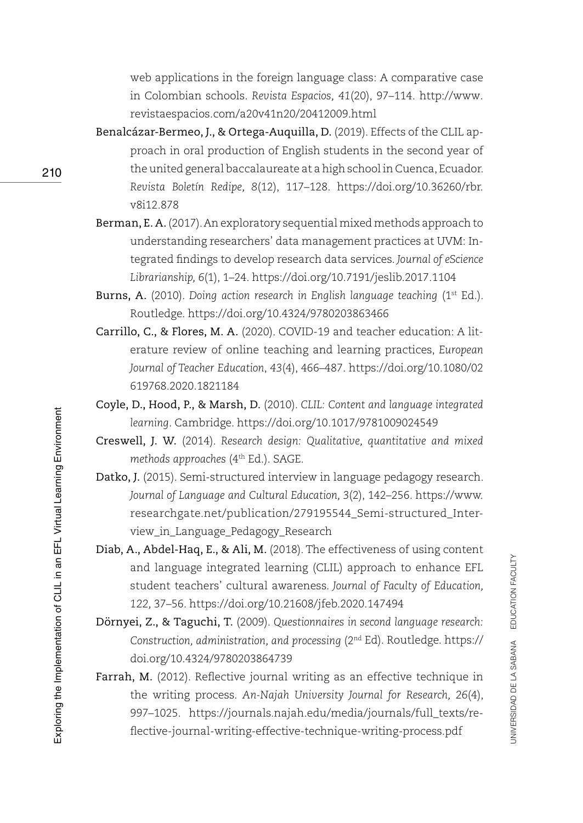web applications in the foreign language class: A comparative case in Colombian schools. *Revista Espacios, 41*(20), 97–114. [http://www.](http://www.revistaespacios.com/a20v41n20/20412009.html) [revistaespacios.com/a20v41n20/20412009.html](http://www.revistaespacios.com/a20v41n20/20412009.html)

- Benalcázar-Bermeo, J., & Ortega-Auquilla, D. (2019). Effects of the CLIL approach in oral production of English students in the second year of the united general baccalaureate at a high school in Cuenca, Ecuador. *Revista Boletín Redipe, 8*(12), 117–128. [https://doi.org/10.36260/rbr.](https://doi.org/10.36260/rbr.v8i12.878) [v8i12.878](https://doi.org/10.36260/rbr.v8i12.878)
- Berman, E. A. (2017). An exploratory sequential mixed methods approach to understanding researchers' data management practices at UVM: Integrated findings to develop research data services. *Journal of eScience Librarianship, 6*(1), 1–24.<https://doi.org/10.7191/jeslib.2017.1104>
- Burns, A. (2010). *Doing action research in English language teaching* (1<sup>st</sup> Ed.). Routledge.<https://doi.org/10.4324/9780203863466>
- Carrillo, C., & Flores, M. A. (2020). COVID-19 and teacher education: A literature review of online teaching and learning practices, *European Journal of Teacher Education*, *43*(4), 466–487. [https://doi.org/10.1080/02](https://doi.org/10.1080/02619768.2020.1821184) [619768.2020.1821184](https://doi.org/10.1080/02619768.2020.1821184)
- Coyle, D., Hood, P., & Marsh, D. (2010). *CLIL: Content and language integrated learning*. Cambridge. <https://doi.org/10.1017/9781009024549>
- Creswell, J. W. (2014). *Research design: Qualitative, quantitative and mixed methods approaches* (4th Ed.). SAGE.
- Datko, J. (2015). Semi-structured interview in language pedagogy research. *Journal of Language and Cultural Education, 3*(2), 142–256. [https://www.](https://www.researchgate.net/publication/279195544_Semi-structured_Interview_in_Language_Pedagogy_Research) [researchgate.net/publication/279195544\\_Semi-structured\\_Inter](https://www.researchgate.net/publication/279195544_Semi-structured_Interview_in_Language_Pedagogy_Research)[view\\_in\\_Language\\_Pedagogy\\_Research](https://www.researchgate.net/publication/279195544_Semi-structured_Interview_in_Language_Pedagogy_Research)
- Diab, A., Abdel-Haq, E., & Ali, M. (2018). The effectiveness of using content and language integrated learning (CLIL) approach to enhance EFL student teachers' cultural awareness. *Journal of Faculty of Education, 122,* 37–56. <https://doi.org/10.21608/jfeb.2020.147494>
- Dörnyei, Z., & Taguchi, T. (2009). *Questionnaires in second language research: Construction, administration, and processing* (2nd Ed). Routledge. [https://](https://doi.org/10.4324/9780203864739) [doi.org/10.4324/9780203864739](https://doi.org/10.4324/9780203864739)
- Farrah, M. (2012). Reflective journal writing as an effective technique in the writing process. *An-Najah University Journal for Research, 26*(4), 997–1025. [https://journals.najah.edu/media/journals/full\\_texts/re](https://journals.najah.edu/media/journals/full_texts/reflective-journal-writing-effective-technique-writing-process.pdf)[flective-journal-writing-effective-technique-writing-process.pdf](https://journals.najah.edu/media/journals/full_texts/reflective-journal-writing-effective-technique-writing-process.pdf)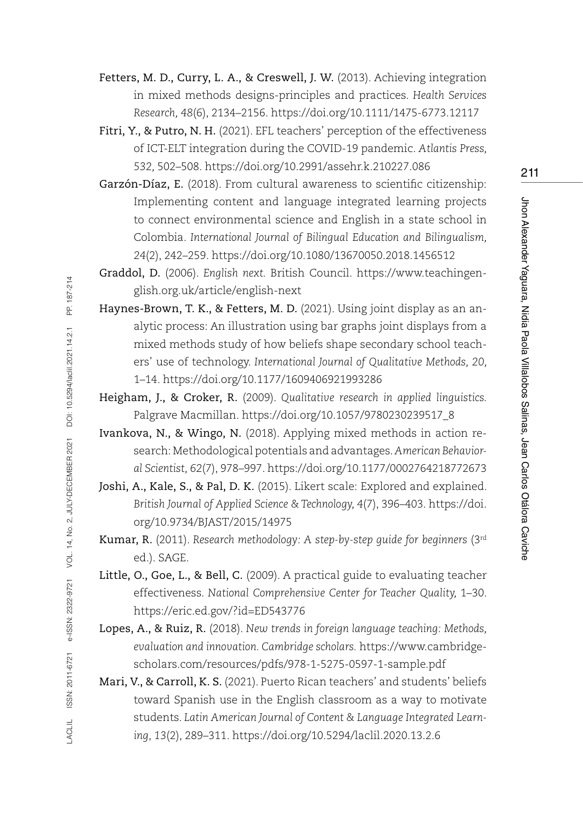Fetters, M. D., Curry, L. A., & Creswell, J. W. (2013). Achieving integration in mixed methods designs-principles and practices. *Health Services Research, 48*(6), 2134–2156.<https://doi.org/10.1111/1475-6773.12117>

Fitri, Y., & Putro, N. H. (2021). EFL teachers' perception of the effectiveness of ICT-ELT integration during the COVID-19 pandemic. *Atlantis Press, 532,* 502–508.<https://doi.org/10.2991/assehr.k.210227.086>

Garzón-Díaz, E. (2018). From cultural awareness to scientific citizenship: Implementing content and language integrated learning projects to connect environmental science and English in a state school in Colombia. *International Journal of Bilingual Education and Bilingualism, 24*(2), 242–259.<https://doi.org/10.1080/13670050.2018.1456512>

Graddol, D. (2006). *English next.* British Council. [https://www.teachingen](https://www.teachingenglish.org.uk/article/english-next)[glish.org.uk/article/english-next](https://www.teachingenglish.org.uk/article/english-next)

- Haynes-Brown, T. K., & Fetters, M. D. (2021). Using joint display as an analytic process: An illustration using bar graphs joint displays from a mixed methods study of how beliefs shape secondary school teachers' use of technology. *International Journal of Qualitative Methods, 20,*  1–14. <https://doi.org/10.1177/1609406921993286>
- Heigham, J., & Croker, R. (2009). *Qualitative research in applied linguistics.*  Palgrave Macmillan. [https://doi.org/10.1057/9780230239517\\_8](https://doi.org/10.1057/9780230239517_8)
- Ivankova, N., & Wingo, N. (2018). Applying mixed methods in action research: Methodological potentials and advantages. *American Behavioral Scientist, 62*(7), 978–997. [https://doi.org/10.1177/0002764218772673](https://doi.org/10.1177%2F0002764218772673)
- Joshi, A., Kale, S., & Pal, D. K. (2015). Likert scale: Explored and explained. *British Journal of Applied Science & Technology, 4*(7), 396–403. [https://doi.](https://doi.org/10.9734/BJAST/2015/14975) [org/10.9734/BJAST/2015/14975](https://doi.org/10.9734/BJAST/2015/14975)
- Kumar, R. (2011). *Research methodology: A step-by-step guide for beginners* (3rd ed.). SAGE.
- Little, O., Goe, L., & Bell, C. (2009). A practical guide to evaluating teacher effectiveness. *National Comprehensive Center for Teacher Quality,* 1–30. <https://eric.ed.gov/?id=ED543776>
- Lopes, A., & Ruiz, R. (2018). *New trends in foreign language teaching: Methods, evaluation and innovation. Cambridge scholars.* https://www.cambridgescholars.com/resources/pdfs/978-1-5275-0597-1-sample.pdf
- Mari, V., & Carroll, K. S. (2021). Puerto Rican teachers' and students' beliefs toward Spanish use in the English classroom as a way to motivate students. *Latin American Journal of Content & Language Integrated Learning*, *13*(2), 289–311.<https://doi.org/10.5294/laclil.2020.13.2.6>

211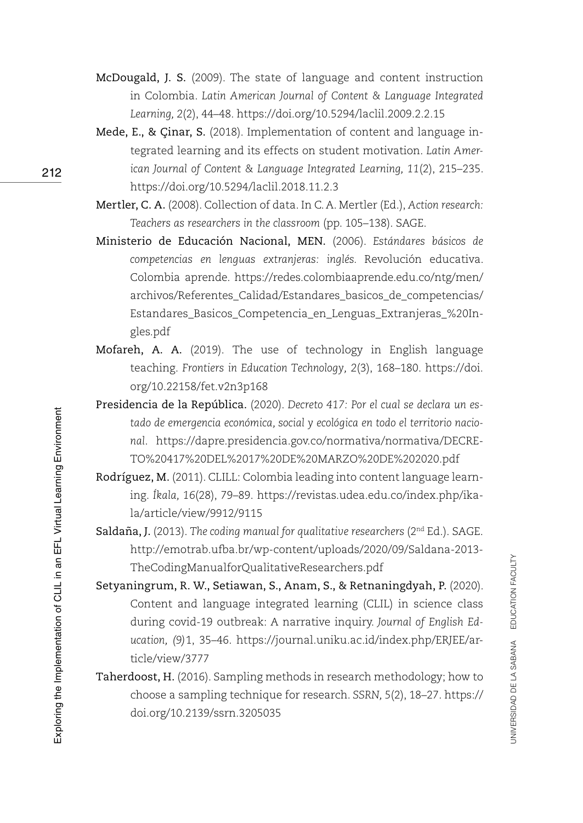- McDougald, J. S. (2009). The state of language and content instruction in Colombia. *Latin American Journal of Content & Language Integrated Learning, 2*(2), 44–48. <https://doi.org/10.5294/laclil.2009.2.2.15>
- Mede, E., & Çinar, S. (2018). Implementation of content and language integrated learning and its effects on student motivation. *Latin American Journal of Content & Language Integrated Learning, 11*(2), 215–235. <https://doi.org/10.5294/laclil.2018.11.2.3>
- Mertler, C. A. (2008). Collection of data. In C. A. Mertler (Ed.), *Action research: Teachers as researchers in the classroom* (pp. 105–138). SAGE.
- Ministerio de Educación Nacional, MEN. (2006). *Estándares básicos de competencias en lenguas extranjeras: inglés.* Revolución educativa. Colombia aprende. [https://redes.colombiaaprende.edu.co/ntg/men/](https://redes.colombiaaprende.edu.co/ntg/men/archivos/Referentes_Calidad/Estandares_basicos_de_competencias/Estandares_Basicos_Competencia_en_Lenguas_Extranjeras_%20Ingles.pdf) [archivos/Referentes\\_Calidad/Estandares\\_basicos\\_de\\_competencias/](https://redes.colombiaaprende.edu.co/ntg/men/archivos/Referentes_Calidad/Estandares_basicos_de_competencias/Estandares_Basicos_Competencia_en_Lenguas_Extranjeras_%20Ingles.pdf) [Estandares\\_Basicos\\_Competencia\\_en\\_Lenguas\\_Extranjeras\\_%20In](https://redes.colombiaaprende.edu.co/ntg/men/archivos/Referentes_Calidad/Estandares_basicos_de_competencias/Estandares_Basicos_Competencia_en_Lenguas_Extranjeras_%20Ingles.pdf)[gles.pdf](https://redes.colombiaaprende.edu.co/ntg/men/archivos/Referentes_Calidad/Estandares_basicos_de_competencias/Estandares_Basicos_Competencia_en_Lenguas_Extranjeras_%20Ingles.pdf)
- Mofareh, A. A. (2019). The use of technology in English language teaching. *Frontiers in Education Technology, 2*(3), 168–180. [https://doi.](https://doi.org/10.22158/fet.v2n3p168) [org/10.22158/fet.v2n3p168](https://doi.org/10.22158/fet.v2n3p168)
- Presidencia de la República. (2020). *Decreto 417: Por el cual se declara un estado de emergencia económica, social y ecológica en todo el territorio nacional*. [https://dapre.presidencia.gov.co/normativa/normativa/DECRE-](https://dapre.presidencia.gov.co/normativa/normativa/DECRETO%20417%20DEL%2017%20DE%20MARZO%20DE%202020.pdf)[TO%20417%20DEL%2017%20DE%20MARZO%20DE%202020.pdf](https://dapre.presidencia.gov.co/normativa/normativa/DECRETO%20417%20DEL%2017%20DE%20MARZO%20DE%202020.pdf)
- Rodríguez, M. (2011). CLILL: Colombia leading into content language learning. *Íkala, 16*(28), 79–89. [https://revistas.udea.edu.co/index.php/ika](https://revistas.udea.edu.co/index.php/ikala/article/view/9912/9115)[la/article/view/9912/9115](https://revistas.udea.edu.co/index.php/ikala/article/view/9912/9115)
- Saldaña, J. (2013). *The coding manual for qualitative researchers* (2<sup>nd</sup> Ed.). SAGE. [http://emotrab.ufba.br/wp-content/uploads/2020/09/Saldana-2013-](http://emotrab.ufba.br/wp-content/uploads/2020/09/Saldana-2013-TheCodingManualforQualitativeResearchers.pdf) [TheCodingManualforQualitativeResearchers.pdf](http://emotrab.ufba.br/wp-content/uploads/2020/09/Saldana-2013-TheCodingManualforQualitativeResearchers.pdf)
- Setyaningrum, R. W., Setiawan, S., Anam, S., & Retnaningdyah, P. (2020). Content and language integrated learning (CLIL) in science class during covid-19 outbreak: A narrative inquiry. *Journal of English Education, (9)*1, 35–46. [https://journal.uniku.ac.id/index.php/ERJEE/ar](https://journal.uniku.ac.id/index.php/ERJEE/article/view/3777)[ticle/view/3777](https://journal.uniku.ac.id/index.php/ERJEE/article/view/3777)
- Taherdoost, H. (2016). Sampling methods in research methodology; how to choose a sampling technique for research. *SSRN, 5*(2), 18–27. [https://](https://doi.org/10.2139/ssrn.3205035) [doi.org/10.2139/ssrn.3205035](https://doi.org/10.2139/ssrn.3205035)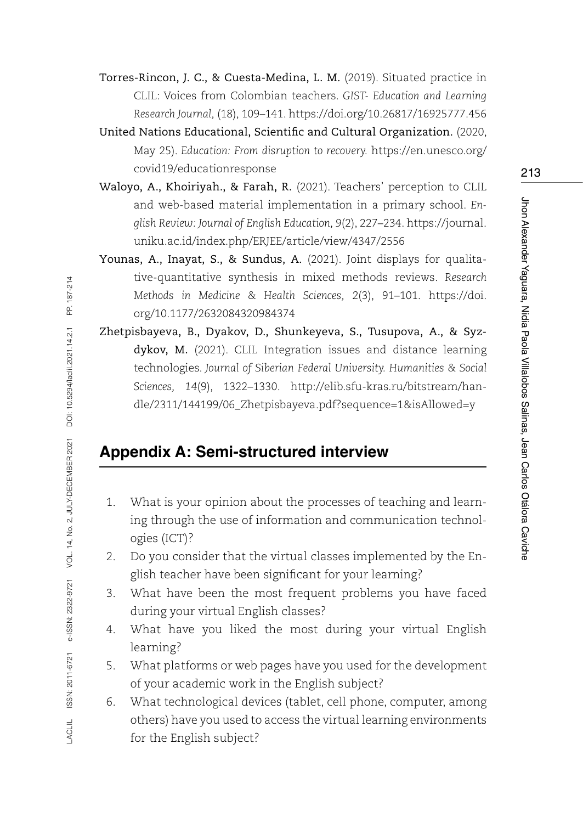Torres-Rincon, J. C., & Cuesta-Medina, L. M. (2019). Situated practice in CLIL: Voices from Colombian teachers. *GIST- Education and Learning Research Journal,* (18), 109–141. <https://doi.org/10.26817/16925777.456>

United Nations Educational, Scientific and Cultural Organization. (2020, May 25). *Education: From disruption to recovery.* [https://en.unesco.org/](https://en.unesco.org/covid19/educationresponse) [covid19/educationresponse](https://en.unesco.org/covid19/educationresponse)

- Waloyo, A., Khoiriyah., & Farah, R. (2021). Teachers' perception to CLIL and web-based material implementation in a primary school. *English Review: Journal of English Education, 9*(2), 227–234. [https://journal.](https://journal.uniku.ac.id/index.php/ERJEE/article/view/4347/2556) [uniku.ac.id/index.php/ERJEE/article/view/4347/2556](https://journal.uniku.ac.id/index.php/ERJEE/article/view/4347/2556)
- Younas, A., Inayat, S., & Sundus, A. (2021). Joint displays for qualitative-quantitative synthesis in mixed methods reviews. *Research Methods in Medicine & Health Sciences, 2*(3), 91–101. [https://doi.](https://doi.org/10.1177/2632084320984374) [org/10.1177/2632084320984374](https://doi.org/10.1177/2632084320984374)
- Zhetpisbayeva, B., Dyakov, D., Shunkeyeva, S., Tusupova, A., & Syzdykov, M. (2021). CLIL Integration issues and distance learning technologies. *Journal of Siberian Federal University. Humanities & Social Sciences, 14*(9), 1322–1330. [http://elib.sfu-kras.ru/bitstream/han](http://elib.sfu-kras.ru/bitstream/handle/2311/144199/06_Zhetpisbayeva.pdf?sequence=1&isAllowed=y)[dle/2311/144199/06\\_Zhetpisbayeva.pdf?sequence=1&isAllowed=y](http://elib.sfu-kras.ru/bitstream/handle/2311/144199/06_Zhetpisbayeva.pdf?sequence=1&isAllowed=y)

# **Appendix A: Semi-structured interview**

- 1. What is your opinion about the processes of teaching and learning through the use of information and communication technologies (ICT)?
- 2. Do you consider that the virtual classes implemented by the English teacher have been significant for your learning?
- 3. What have been the most frequent problems you have faced during your virtual English classes?
- 4. What have you liked the most during your virtual English learning?
- 5. What platforms or web pages have you used for the development of your academic work in the English subject?
- 6. What technological devices (tablet, cell phone, computer, among others) have you used to access the virtual learning environments for the English subject?